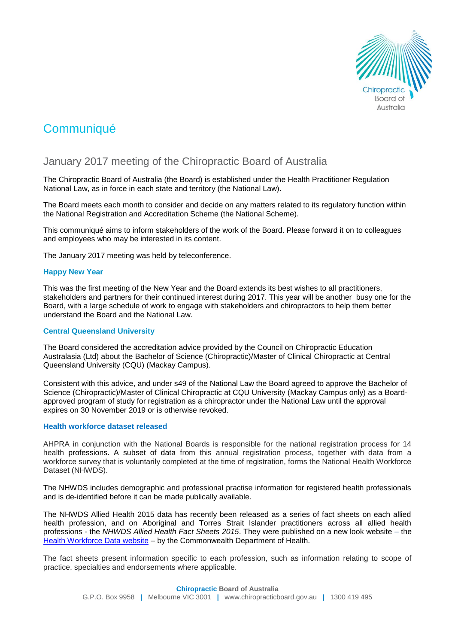

# Communiqué

# January 2017 meeting of the Chiropractic Board of Australia

The Chiropractic Board of Australia (the Board) is established under the Health Practitioner Regulation National Law, as in force in each state and territory (the National Law).

The Board meets each month to consider and decide on any matters related to its regulatory function within the National Registration and Accreditation Scheme (the National Scheme).

This communiqué aims to inform stakeholders of the work of the Board. Please forward it on to colleagues and employees who may be interested in its content.

The January 2017 meeting was held by teleconference.

# **Happy New Year**

This was the first meeting of the New Year and the Board extends its best wishes to all practitioners, stakeholders and partners for their continued interest during 2017. This year will be another busy one for the Board, with a large schedule of work to engage with stakeholders and chiropractors to help them better understand the Board and the National Law.

#### **Central Queensland University**

The Board considered the accreditation advice provided by the Council on Chiropractic Education Australasia (Ltd) about the Bachelor of Science (Chiropractic)/Master of Clinical Chiropractic at Central Queensland University (CQU) (Mackay Campus).

Consistent with this advice, and under s49 of the National Law the Board agreed to approve the Bachelor of Science (Chiropractic)/Master of Clinical Chiropractic at CQU University (Mackay Campus only) as a Boardapproved program of study for registration as a chiropractor under the National Law until the approval expires on 30 November 2019 or is otherwise revoked.

#### **Health workforce dataset released**

AHPRA in conjunction with the National Boards is responsible for the national registration process for 14 health professions. A subset of data from this annual registration process, together with data from a workforce survey that is voluntarily completed at the time of registration, forms the National Health Workforce Dataset (NHWDS).

The NHWDS includes demographic and professional practise information for registered health professionals and is de-identified before it can be made publically available.

The NHWDS Allied Health 2015 data has recently been released as a series of fact sheets on each allied health profession, and on Aboriginal and Torres Strait Islander practitioners across all allied health professions - the *NHWDS Allied Health Fact Sheets 2015*. They were published on a new look website – the [Health Workforce Data website](http://data.hwa.gov.au/) – by the Commonwealth Department of Health.

The fact sheets present information specific to each profession, such as information relating to scope of practice, specialties and endorsements where applicable.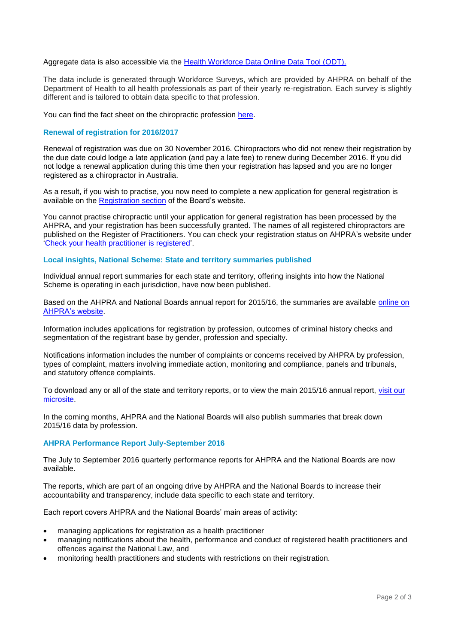#### Aggregate data is also accessible via the [Health Workforce Data Online Data Tool \(ODT\).](http://data.hwa.gov.au/datatool.html)

The data include is generated through Workforce Surveys, which are provided by AHPRA on behalf of the Department of Health to all health professionals as part of their yearly re-registration. Each survey is slightly different and is tailored to obtain data specific to that profession.

You can find the fact sheet on the chiropractic profession [here.](http://data.hwa.gov.au/publications.html)

# **Renewal of registration for 2016/2017**

Renewal of registration was due on 30 November 2016. Chiropractors who did not renew their registration by the due date could lodge a late application (and pay a late fee) to renew during December 2016. If you did not lodge a renewal application during this time then your registration has lapsed and you are no longer registered as a chiropractor in Australia.

As a result, if you wish to practise, you now need to complete a new application for general registration is available on the [Registration](https://www.ahpra.gov.au/News/2015-12-31-obligations-for-employers.aspx) section of the Board's website.

You cannot practise chiropractic until your application for general registration has been processed by the AHPRA, and your registration has been successfully granted. The names of all registered chiropractors are published on the Register of Practitioners. You can check your registration status on AHPRA's website under ['Check your health practitioner is registered'](https://www.ahpra.gov.au/).

#### **Local insights, National Scheme: State and territory summaries published**

Individual annual report summaries for each state and territory, offering insights into how the National Scheme is operating in each jurisdiction, have now been published.

Based on the AHPRA and National Boards annual report for 2015/16, the summaries are available [online on](http://www.ahpra.gov.au/annualreport/2016/)  [AHPRA's website.](http://www.ahpra.gov.au/annualreport/2016/)

Information includes applications for registration by profession, outcomes of criminal history checks and segmentation of the registrant base by gender, profession and specialty.

Notifications information includes the number of complaints or concerns received by AHPRA by profession, types of complaint, matters involving immediate action, monitoring and compliance, panels and tribunals, and statutory offence complaints.

To download any or all of the state and territory reports, or to view the main 2015/16 annual report, [visit our](http://www.ahpra.gov.au/annualreport/2016/)  [microsite.](http://www.ahpra.gov.au/annualreport/2016/)

In the coming months, AHPRA and the National Boards will also publish summaries that break down 2015/16 data by profession.

#### **AHPRA Performance Report July-September 2016**

The July to September 2016 quarterly performance reports for AHPRA and the National Boards are now available.

The reports, which are part of an ongoing drive by AHPRA and the National Boards to increase their accountability and transparency, include data specific to each state and territory.

Each report covers AHPRA and the National Boards' main areas of activity:

- managing applications for registration as a health practitioner
- managing notifications about the health, performance and conduct of registered health practitioners and offences against the National Law, and
- monitoring health practitioners and students with restrictions on their registration.